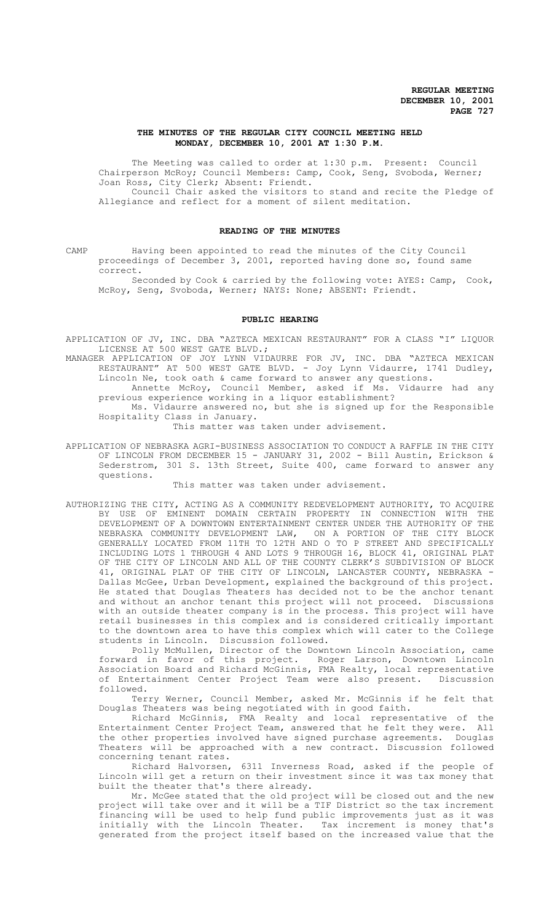### **THE MINUTES OF THE REGULAR CITY COUNCIL MEETING HELD MONDAY, DECEMBER 10, 2001 AT 1:30 P.M.**

The Meeting was called to order at 1:30 p.m. Present: Council Chairperson McRoy; Council Members: Camp, Cook, Seng, Svoboda, Werner; Joan Ross, City Clerk; Absent: Friendt. Council Chair asked the visitors to stand and recite the Pledge of

Allegiance and reflect for a moment of silent meditation.

# **READING OF THE MINUTES**

CAMP Having been appointed to read the minutes of the City Council proceedings of December 3, 2001, reported having done so, found same correct.

Seconded by Cook & carried by the following vote: AYES: Camp, Cook, McRoy, Seng, Svoboda, Werner; NAYS: None; ABSENT: Friendt.

### **PUBLIC HEARING**

APPLICATION OF JV, INC. DBA "AZTECA MEXICAN RESTAURANT" FOR A CLASS "I" LIQUOR LICENSE AT 500 WEST GATE BLVD.;

MANAGER APPLICATION OF JOY LYNN VIDAURRE FOR JV, INC. DBA "AZTECA MEXICAN RESTAURANT" AT 500 WEST GATE BLVD. - Joy Lynn Vidaurre, 1741 Dudley, Lincoln Ne, took oath & came forward to answer any questions.

Annette McRoy, Council Member, asked if Ms. Vidaurre had any previous experience working in a liquor establishment?

Ms. Vidaurre answered no, but she is signed up for the Responsible Hospitality Class in January.

This matter was taken under advisement.

APPLICATION OF NEBRASKA AGRI-BUSINESS ASSOCIATION TO CONDUCT A RAFFLE IN THE CITY OF LINCOLN FROM DECEMBER 15 - JANUARY 31, 2002 - Bill Austin, Erickson & Sederstrom, 301 S. 13th Street, Suite 400, came forward to answer any questions.

This matter was taken under advisement.

AUTHORIZING THE CITY, ACTING AS A COMMUNITY REDEVELOPMENT AUTHORITY, TO ACQUIRE BY USE OF EMINENT DOMAIN CERTAIN PROPERTY IN CONNECTION WITH THE DEVELOPMENT OF A DOWNTOWN ENTERTAINMENT CENTER UNDER THE AUTHORITY OF THE NEBRASKA COMMUNITY DEVELOPMENT LAW, ON A PORTION OF THE CITY BLOCK GENERALLY LOCATED FROM 11TH TO 12TH AND O TO P STREET AND SPECIFICALLY INCLUDING LOTS 1 THROUGH 4 AND LOTS 9 THROUGH 16, BLOCK 41, ORIGINAL PLAT OF THE CITY OF LINCOLN AND ALL OF THE COUNTY CLERK'S SUBDIVISION OF BLOCK 41, ORIGINAL PLAT OF THE CITY OF LINCOLN, LANCASTER COUNTY, NEBRASKA - Dallas McGee, Urban Development, explained the background of this project. He stated that Douglas Theaters has decided not to be the anchor tenant and without an anchor tenant this project will not proceed. Discussions with an outside theater company is in the process. This project will have retail businesses in this complex and is considered critically important to the downtown area to have this complex which will cater to the College students in Lincoln. Discussion followed.

Polly McMullen, Director of the Downtown Lincoln Association, came forward in favor of this project. Roger Larson, Downtown Lincoln Association Board and Richard McGinnis, FMA Realty, local representative of Entertainment Center Project Team were also present. Discussion followed.

Terry Werner, Council Member, asked Mr. McGinnis if he felt that Douglas Theaters was being negotiated with in good faith.

Richard McGinnis, FMA Realty and local representative of the Entertainment Center Project Team, answered that he felt they were. All the other properties involved have signed purchase agreements. Douglas Theaters will be approached with a new contract. Discussion followed concerning tenant rates.

Richard Halvorsen, 6311 Inverness Road, asked if the people of Lincoln will get a return on their investment since it was tax money that built the theater that's there already.

Mr. McGee stated that the old project will be closed out and the new project will take over and it will be a TIF District so the tax increment financing will be used to help fund public improvements just as it was initially with the Lincoln Theater. Tax increment is money that's generated from the project itself based on the increased value that the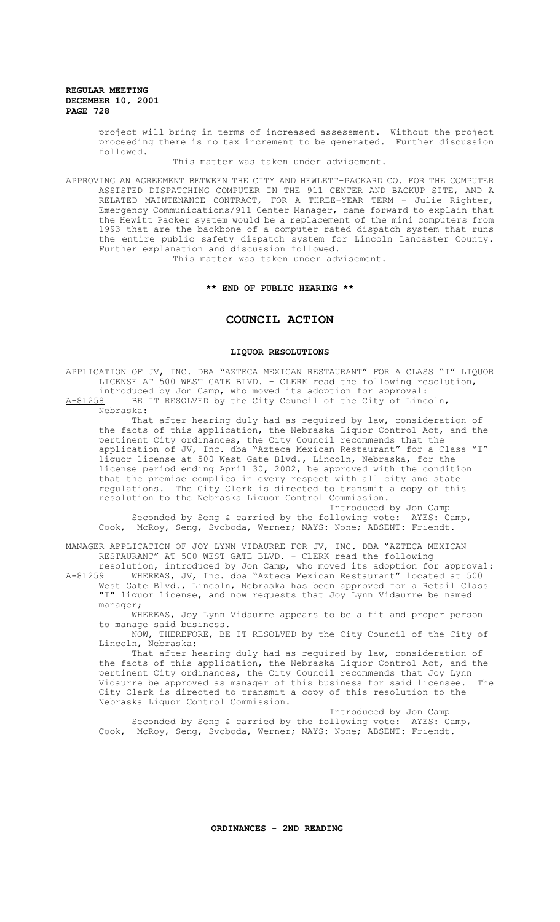> project will bring in terms of increased assessment. Without the project proceeding there is no tax increment to be generated. Further discussion followed.

> > This matter was taken under advisement.

APPROVING AN AGREEMENT BETWEEN THE CITY AND HEWLETT-PACKARD CO. FOR THE COMPUTER ASSISTED DISPATCHING COMPUTER IN THE 911 CENTER AND BACKUP SITE, AND A RELATED MAINTENANCE CONTRACT, FOR A THREE-YEAR TERM - Julie Righter, Emergency Communications/911 Center Manager, came forward to explain that the Hewitt Packer system would be a replacement of the mini computers from 1993 that are the backbone of a computer rated dispatch system that runs the entire public safety dispatch system for Lincoln Lancaster County. Further explanation and discussion followed. This matter was taken under advisement.

**\*\* END OF PUBLIC HEARING \*\***

# **COUNCIL ACTION**

# **LIQUOR RESOLUTIONS**

APPLICATION OF JV, INC. DBA "AZTECA MEXICAN RESTAURANT" FOR A CLASS "I" LIQUOR LICENSE AT 500 WEST GATE BLVD. - CLERK read the following resolution, introduced by Jon Camp, who moved its adoption for approval: A-81258 BE IT RESOLVED by the City Council of the City of Lincoln, Nebraska: That after hearing duly had as required by law, consideration of the facts of this application, the Nebraska Liquor Control Act, and the pertinent City ordinances, the City Council recommends that the application of JV, Inc. dba "Azteca Mexican Restaurant" for a Class "I" liquor license at 500 West Gate Blvd., Lincoln, Nebraska, for the license period ending April 30, 2002, be approved with the condition that the premise complies in every respect with all city and state regulations. The City Clerk is directed to transmit a copy of this resolution to the Nebraska Liquor Control Commission. Introduced by Jon Camp Seconded by Seng & carried by the following vote: AYES: Camp, Cook, McRoy, Seng, Svoboda, Werner; NAYS: None; ABSENT: Friendt. MANAGER APPLICATION OF JOY LYNN VIDAURRE FOR JV, INC. DBA "AZTECA MEXICAN RESTAURANT" AT 500 WEST GATE BLVD. - CLERK read the following

resolution, introduced by Jon Camp, who moved its adoption for approval: A-81259 WHEREAS, JV, Inc. dba "Azteca Mexican Restaurant" located at 500 West Gate Blvd., Lincoln, Nebraska has been approved for a Retail Class "I" liquor license, and now requests that Joy Lynn Vidaurre be named manager;

WHEREAS, Joy Lynn Vidaurre appears to be a fit and proper person to manage said business.

NOW, THEREFORE, BE IT RESOLVED by the City Council of the City of Lincoln, Nebraska:

That after hearing duly had as required by law, consideration of the facts of this application, the Nebraska Liquor Control Act, and the pertinent City ordinances, the City Council recommends that Joy Lynn Vidaurre be approved as manager of this business for said licensee. The City Clerk is directed to transmit a copy of this resolution to the Nebraska Liquor Control Commission.

Introduced by Jon Camp Seconded by Seng & carried by the following vote: AYES: Camp, Cook, McRoy, Seng, Svoboda, Werner; NAYS: None; ABSENT: Friendt.

**ORDINANCES - 2ND READING**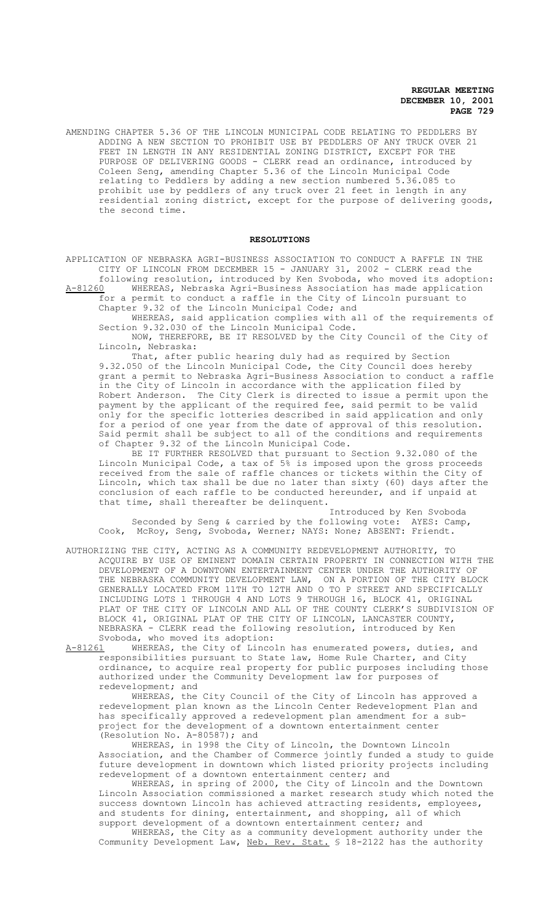AMENDING CHAPTER 5.36 OF THE LINCOLN MUNICIPAL CODE RELATING TO PEDDLERS BY ADDING A NEW SECTION TO PROHIBIT USE BY PEDDLERS OF ANY TRUCK OVER 21 FEET IN LENGTH IN ANY RESIDENTIAL ZONING DISTRICT, EXCEPT FOR THE PURPOSE OF DELIVERING GOODS - CLERK read an ordinance, introduced by Coleen Seng, amending Chapter 5.36 of the Lincoln Municipal Code relating to Peddlers by adding a new section numbered 5.36.085 to prohibit use by peddlers of any truck over 21 feet in length in any residential zoning district, except for the purpose of delivering goods, the second time.

### **RESOLUTIONS**

APPLICATION OF NEBRASKA AGRI-BUSINESS ASSOCIATION TO CONDUCT A RAFFLE IN THE CITY OF LINCOLN FROM DECEMBER 15 - JANUARY 31, 2002 - CLERK read the following resolution, introduced by Ken Svoboda, who moved its adoption:

A-81260 WHEREAS, Nebraska Agri-Business Association has made application for a permit to conduct a raffle in the City of Lincoln pursuant to Chapter 9.32 of the Lincoln Municipal Code; and

WHEREAS, said application complies with all of the requirements of Section 9.32.030 of the Lincoln Municipal Code.

NOW, THEREFORE, BE IT RESOLVED by the City Council of the City of Lincoln, Nebraska:

That, after public hearing duly had as required by Section 9.32.050 of the Lincoln Municipal Code, the City Council does hereby grant a permit to Nebraska Agri-Business Association to conduct a raffle in the City of Lincoln in accordance with the application filed by Robert Anderson. The City Clerk is directed to issue a permit upon the payment by the applicant of the required fee, said permit to be valid only for the specific lotteries described in said application and only for a period of one year from the date of approval of this resolution. Said permit shall be subject to all of the conditions and requirements of Chapter 9.32 of the Lincoln Municipal Code.

BE IT FURTHER RESOLVED that pursuant to Section 9.32.080 of the Lincoln Municipal Code, a tax of 5% is imposed upon the gross proceeds received from the sale of raffle chances or tickets within the City of Lincoln, which tax shall be due no later than sixty (60) days after the conclusion of each raffle to be conducted hereunder, and if unpaid at that time, shall thereafter be delinquent.

Introduced by Ken Svoboda Seconded by Seng & carried by the following vote: AYES: Camp, Cook, McRoy, Seng, Svoboda, Werner; NAYS: None; ABSENT: Friendt.

AUTHORIZING THE CITY, ACTING AS A COMMUNITY REDEVELOPMENT AUTHORITY, TO ACQUIRE BY USE OF EMINENT DOMAIN CERTAIN PROPERTY IN CONNECTION WITH THE DEVELOPMENT OF A DOWNTOWN ENTERTAINMENT CENTER UNDER THE AUTHORITY OF THE NEBRASKA COMMUNITY DEVELOPMENT LAW, ON A PORTION OF THE CITY BLOCK GENERALLY LOCATED FROM 11TH TO 12TH AND O TO P STREET AND SPECIFICALLY INCLUDING LOTS 1 THROUGH 4 AND LOTS 9 THROUGH 16, BLOCK 41, ORIGINAL PLAT OF THE CITY OF LINCOLN AND ALL OF THE COUNTY CLERK'S SUBDIVISION OF BLOCK 41, ORIGINAL PLAT OF THE CITY OF LINCOLN, LANCASTER COUNTY, NEBRASKA - CLERK read the following resolution, introduced by Ken

Svoboda, who moved its adoption:<br>A-81261 WHEREAS, the City of Linco WHEREAS, the City of Lincoln has enumerated powers, duties, and responsibilities pursuant to State law, Home Rule Charter, and City ordinance, to acquire real property for public purposes including those authorized under the Community Development law for purposes of redevelopment; and

WHEREAS, the City Council of the City of Lincoln has approved a redevelopment plan known as the Lincoln Center Redevelopment Plan and has specifically approved a redevelopment plan amendment for a subproject for the development of a downtown entertainment center (Resolution No. A-80587); and

WHEREAS, in 1998 the City of Lincoln, the Downtown Lincoln Association, and the Chamber of Commerce jointly funded a study to guide future development in downtown which listed priority projects including redevelopment of a downtown entertainment center; and

WHEREAS, in spring of 2000, the City of Lincoln and the Downtown Lincoln Association commissioned a market research study which noted the success downtown Lincoln has achieved attracting residents, employees, and students for dining, entertainment, and shopping, all of which support development of a downtown entertainment center; and

WHEREAS, the City as a community development authority under the Community Development Law, Neb. Rev. Stat. § 18-2122 has the authority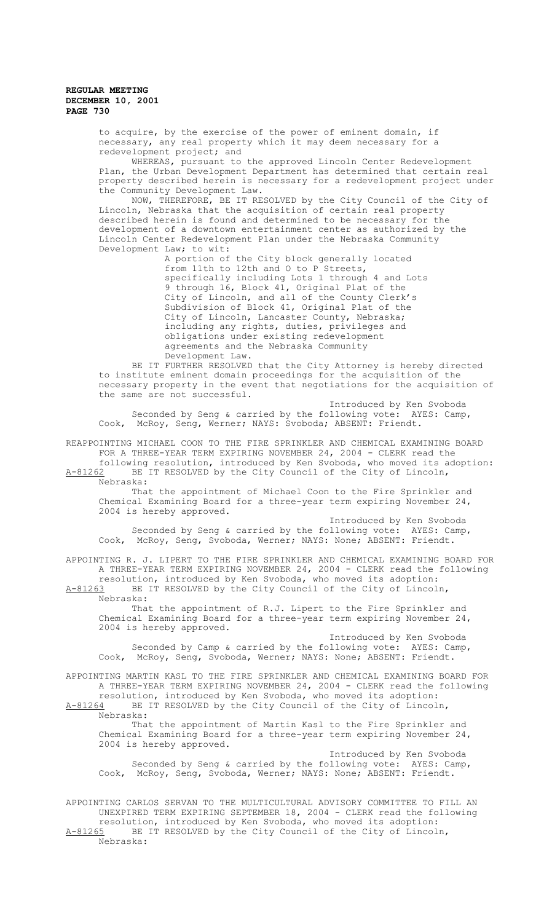to acquire, by the exercise of the power of eminent domain, if necessary, any real property which it may deem necessary for a redevelopment project; and

WHEREAS, pursuant to the approved Lincoln Center Redevelopment Plan, the Urban Development Department has determined that certain real property described herein is necessary for a redevelopment project under the Community Development Law.

NOW, THEREFORE, BE IT RESOLVED by the City Council of the City of Lincoln, Nebraska that the acquisition of certain real property described herein is found and determined to be necessary for the development of a downtown entertainment center as authorized by the Lincoln Center Redevelopment Plan under the Nebraska Community Development Law; to wit:

> A portion of the City block generally located from 11th to 12th and O to P Streets, specifically including Lots 1 through 4 and Lots 9 through 16, Block 41, Original Plat of the City of Lincoln, and all of the County Clerk's Subdivision of Block 41, Original Plat of the City of Lincoln, Lancaster County, Nebraska; including any rights, duties, privileges and obligations under existing redevelopment agreements and the Nebraska Community Development Law.

BE IT FURTHER RESOLVED that the City Attorney is hereby directed to institute eminent domain proceedings for the acquisition of the necessary property in the event that negotiations for the acquisition of the same are not successful.

Introduced by Ken Svoboda Seconded by Seng & carried by the following vote: AYES: Camp, Cook, McRoy, Seng, Werner; NAYS: Svoboda; ABSENT: Friendt.

REAPPOINTING MICHAEL COON TO THE FIRE SPRINKLER AND CHEMICAL EXAMINING BOARD FOR A THREE-YEAR TERM EXPIRING NOVEMBER 24, 2004 - CLERK read the following resolution, introduced by Ken Svoboda, who moved its adoption:

A-81262 BE IT RESOLVED by the City Council of the City of Lincoln, Nebraska:

That the appointment of Michael Coon to the Fire Sprinkler and Chemical Examining Board for a three-year term expiring November 24, 2004 is hereby approved.

Introduced by Ken Svoboda Seconded by Seng & carried by the following vote: AYES: Camp, Cook, McRoy, Seng, Svoboda, Werner; NAYS: None; ABSENT: Friendt.

APPOINTING R. J. LIPERT TO THE FIRE SPRINKLER AND CHEMICAL EXAMINING BOARD FOR A THREE-YEAR TERM EXPIRING NOVEMBER 24, 2004 - CLERK read the following resolution, introduced by Ken Svoboda, who moved its adoption: A-81263 BE IT RESOLVED by the City Council of the City of Lincoln,

Nebraska: That the appointment of R.J. Lipert to the Fire Sprinkler and Chemical Examining Board for a three-year term expiring November 24, 2004 is hereby approved.

Introduced by Ken Svoboda Seconded by Camp & carried by the following vote: AYES: Camp, Cook, McRoy, Seng, Svoboda, Werner; NAYS: None; ABSENT: Friendt.

APPOINTING MARTIN KASL TO THE FIRE SPRINKLER AND CHEMICAL EXAMINING BOARD FOR A THREE-YEAR TERM EXPIRING NOVEMBER 24, 2004 - CLERK read the following resolution, introduced by Ken Svoboda, who moved its adoption: A-81264 BE IT RESOLVED by the City Council of the City of Lincoln, Nebraska:

That the appointment of Martin Kasl to the Fire Sprinkler and Chemical Examining Board for a three-year term expiring November 24, 2004 is hereby approved.

Introduced by Ken Svoboda Seconded by Seng & carried by the following vote: AYES: Camp, Cook, McRoy, Seng, Svoboda, Werner; NAYS: None; ABSENT: Friendt.

APPOINTING CARLOS SERVAN TO THE MULTICULTURAL ADVISORY COMMITTEE TO FILL AN UNEXPIRED TERM EXPIRING SEPTEMBER 18, 2004 - CLERK read the following resolution, introduced by Ken Svoboda, who moved its adoption: A-81265 BE IT RESOLVED by the City Council of the City of Lincoln, Nebraska: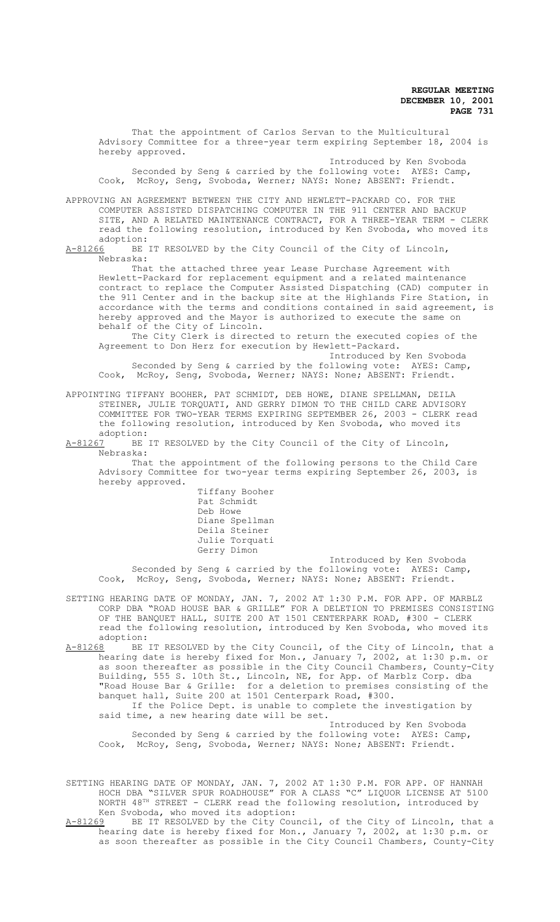That the appointment of Carlos Servan to the Multicultural Advisory Committee for a three-year term expiring September 18, 2004 is hereby approved.

Introduced by Ken Svoboda Seconded by Seng & carried by the following vote: AYES: Camp, Cook, McRoy, Seng, Svoboda, Werner; NAYS: None; ABSENT: Friendt.

APPROVING AN AGREEMENT BETWEEN THE CITY AND HEWLETT-PACKARD CO. FOR THE COMPUTER ASSISTED DISPATCHING COMPUTER IN THE 911 CENTER AND BACKUP SITE, AND A RELATED MAINTENANCE CONTRACT, FOR A THREE-YEAR TERM - CLERK read the following resolution, introduced by Ken Svoboda, who moved its

adoption:<br>A-81266 BE BE IT RESOLVED by the City Council of the City of Lincoln, Nebraska:

That the attached three year Lease Purchase Agreement with Hewlett-Packard for replacement equipment and a related maintenance contract to replace the Computer Assisted Dispatching (CAD) computer in the 911 Center and in the backup site at the Highlands Fire Station, in accordance with the terms and conditions contained in said agreement, is hereby approved and the Mayor is authorized to execute the same on behalf of the City of Lincoln.

The City Clerk is directed to return the executed copies of the Agreement to Don Herz for execution by Hewlett-Packard.

Introduced by Ken Svoboda Seconded by Seng & carried by the following vote: AYES: Camp, Cook, McRoy, Seng, Svoboda, Werner; NAYS: None; ABSENT: Friendt.

APPOINTING TIFFANY BOOHER, PAT SCHMIDT, DEB HOWE, DIANE SPELLMAN, DEILA STEINER, JULIE TORQUATI, AND GERRY DIMON TO THE CHILD CARE ADVISORY COMMITTEE FOR TWO-YEAR TERMS EXPIRING SEPTEMBER 26, 2003 - CLERK read the following resolution, introduced by Ken Svoboda, who moved its adoption:<br>A-81267 BE

BE IT RESOLVED by the City Council of the City of Lincoln, Nebraska:

That the appointment of the following persons to the Child Care Advisory Committee for two-year terms expiring September 26, 2003, is hereby approved.

Tiffany Booher Pat Schmidt Deb Howe Diane Spellman Deila Steiner Julie Torquati Gerry Dimon

Introduced by Ken Svoboda Seconded by Seng & carried by the following vote: AYES: Camp, Cook, McRoy, Seng, Svoboda, Werner; NAYS: None; ABSENT: Friendt.

SETTING HEARING DATE OF MONDAY, JAN. 7, 2002 AT 1:30 P.M. FOR APP. OF MARBLZ CORP DBA "ROAD HOUSE BAR & GRILLE" FOR A DELETION TO PREMISES CONSISTING OF THE BANQUET HALL, SUITE 200 AT 1501 CENTERPARK ROAD, #300 - CLERK read the following resolution, introduced by Ken Svoboda, who moved its adoption:<br>A-81268 BE

A-81268 BE IT RESOLVED by the City Council, of the City of Lincoln, that a hearing date is hereby fixed for Mon., January 7, 2002, at 1:30 p.m. or as soon thereafter as possible in the City Council Chambers, County-City Building, 555 S. 10th St., Lincoln, NE, for App. of Marblz Corp. dba "Road House Bar & Grille: for a deletion to premises consisting of the banquet hall, Suite 200 at 1501 Centerpark Road, #300. If the Police Dept. is unable to complete the investigation by said time, a new hearing date will be set.

Introduced by Ken Svoboda Seconded by Seng & carried by the following vote: AYES: Camp, Cook, McRoy, Seng, Svoboda, Werner; NAYS: None; ABSENT: Friendt.

SETTING HEARING DATE OF MONDAY, JAN. 7, 2002 AT 1:30 P.M. FOR APP. OF HANNAH HOCH DBA "SILVER SPUR ROADHOUSE" FOR A CLASS "C" LIQUOR LICENSE AT 5100 NORTH 48TH STREET - CLERK read the following resolution, introduced by Ken Svoboda, who moved its adoption:

A-81269 BE IT RESOLVED by the City Council, of the City of Lincoln, that a hearing date is hereby fixed for Mon., January 7, 2002, at 1:30 p.m. or as soon thereafter as possible in the City Council Chambers, County-City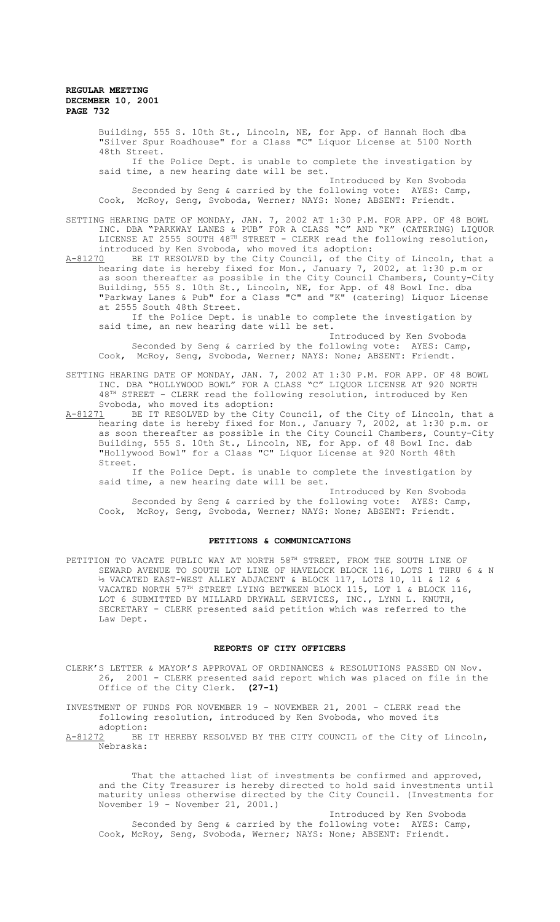Building, 555 S. 10th St., Lincoln, NE, for App. of Hannah Hoch dba "Silver Spur Roadhouse" for a Class "C" Liquor License at 5100 North 48th Street.

If the Police Dept. is unable to complete the investigation by said time, a new hearing date will be set.

Introduced by Ken Svoboda Seconded by Seng & carried by the following vote: AYES: Camp, Cook, McRoy, Seng, Svoboda, Werner; NAYS: None; ABSENT: Friendt.

SETTING HEARING DATE OF MONDAY, JAN. 7, 2002 AT 1:30 P.M. FOR APP. OF 48 BOWL INC. DBA "PARKWAY LANES & PUB" FOR A CLASS "C" AND "K" (CATERING) LIQUOR LICENSE AT 2555 SOUTH  $48^{TH}$  STREET - CLERK read the following resolution, introduced by Ken Svoboda, who moved its adoption:<br>A-81270 BE IT RESOLVED by the City Council, of the C

A-81270 BE IT RESOLVED by the City Council, of the City of Lincoln, that a hearing date is hereby fixed for Mon., January 7, 2002, at 1:30 p.m or as soon thereafter as possible in the City Council Chambers, County-City Building, 555 S. 10th St., Lincoln, NE, for App. of 48 Bowl Inc. dba "Parkway Lanes & Pub" for a Class "C" and "K" (catering) Liquor License at 2555 South 48th Street.

If the Police Dept. is unable to complete the investigation by said time, an new hearing date will be set.

Introduced by Ken Svoboda Seconded by Seng & carried by the following vote: AYES: Camp, Cook, McRoy, Seng, Svoboda, Werner; NAYS: None; ABSENT: Friendt.

SETTING HEARING DATE OF MONDAY, JAN. 7, 2002 AT 1:30 P.M. FOR APP. OF 48 BOWL INC. DBA "HOLLYWOOD BOWL" FOR A CLASS "C" LIQUOR LICENSE AT 920 NORTH  $48<sup>TH</sup>$  STREET - CLERK read the following resolution, introduced by Ken Svoboda, who moved its adoption:

A-81271 BE IT RESOLVED by the City Council, of the City of Lincoln, that a hearing date is hereby fixed for Mon., January 7, 2002, at 1:30 p.m. or as soon thereafter as possible in the City Council Chambers, County-City Building, 555 S. 10th St., Lincoln, NE, for App. of 48 Bowl Inc. dab "Hollywood Bowl" for a Class "C" Liquor License at 920 North 48th Street.

If the Police Dept. is unable to complete the investigation by said time, a new hearing date will be set.

Introduced by Ken Svoboda Seconded by Seng & carried by the following vote: AYES: Camp, Cook, McRoy, Seng, Svoboda, Werner; NAYS: None; ABSENT: Friendt.

### **PETITIONS & COMMUNICATIONS**

PETITION TO VACATE PUBLIC WAY AT NORTH 58TH STREET, FROM THE SOUTH LINE OF SEWARD AVENUE TO SOUTH LOT LINE OF HAVELOCK BLOCK 116, LOTS 1 THRU 6 & N ½ VACATED EAST-WEST ALLEY ADJACENT & BLOCK 117, LOTS 10, 11 & 12 & VACATED NORTH 57TH STREET LYING BETWEEN BLOCK 115, LOT 1 & BLOCK 116, LOT 6 SUBMITTED BY MILLARD DRYWALL SERVICES, INC., LYNN L. KNUTH, SECRETARY - CLERK presented said petition which was referred to the Law Dept.

#### **REPORTS OF CITY OFFICERS**

CLERK'S LETTER & MAYOR'S APPROVAL OF ORDINANCES & RESOLUTIONS PASSED ON Nov. 26, 2001 - CLERK presented said report which was placed on file in the Office of the City Clerk. **(27-1)**

INVESTMENT OF FUNDS FOR NOVEMBER 19 - NOVEMBER 21, 2001 - CLERK read the following resolution, introduced by Ken Svoboda, who moved its

adoption:<br>A-81272 BE BE IT HEREBY RESOLVED BY THE CITY COUNCIL of the City of Lincoln, Nebraska:

That the attached list of investments be confirmed and approved, and the City Treasurer is hereby directed to hold said investments until maturity unless otherwise directed by the City Council. (Investments for November 19 - November 21, 2001.)

Introduced by Ken Svoboda Seconded by Seng & carried by the following vote: AYES: Camp, Cook, McRoy, Seng, Svoboda, Werner; NAYS: None; ABSENT: Friendt.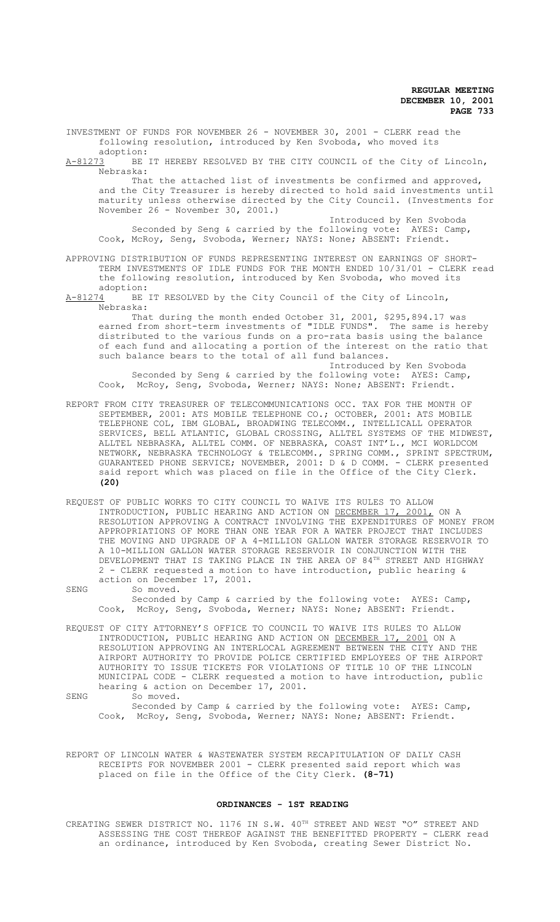INVESTMENT OF FUNDS FOR NOVEMBER 26 - NOVEMBER 30, 2001 - CLERK read the following resolution, introduced by Ken Svoboda, who moved its

adoption:<br>A-81273 BE BE IT HEREBY RESOLVED BY THE CITY COUNCIL of the City of Lincoln, Nebraska:

That the attached list of investments be confirmed and approved, and the City Treasurer is hereby directed to hold said investments until maturity unless otherwise directed by the City Council. (Investments for November 26 - November 30, 2001.)

Introduced by Ken Svoboda Seconded by Seng & carried by the following vote: AYES: Camp, Cook, McRoy, Seng, Svoboda, Werner; NAYS: None; ABSENT: Friendt.

- APPROVING DISTRIBUTION OF FUNDS REPRESENTING INTEREST ON EARNINGS OF SHORT-TERM INVESTMENTS OF IDLE FUNDS FOR THE MONTH ENDED 10/31/01 - CLERK read the following resolution, introduced by Ken Svoboda, who moved its
- adoption:<br>A-81274 BE BE IT RESOLVED by the City Council of the City of Lincoln, Nebraska:

That during the month ended October 31, 2001, \$295,894.17 was earned from short-term investments of "IDLE FUNDS". The same is hereby distributed to the various funds on a pro-rata basis using the balance of each fund and allocating a portion of the interest on the ratio that such balance bears to the total of all fund balances.

Introduced by Ken Svoboda Seconded by Seng & carried by the following vote: AYES: Camp, Cook, McRoy, Seng, Svoboda, Werner; NAYS: None; ABSENT: Friendt.

- REPORT FROM CITY TREASURER OF TELECOMMUNICATIONS OCC. TAX FOR THE MONTH OF SEPTEMBER, 2001: ATS MOBILE TELEPHONE CO.; OCTOBER, 2001: ATS MOBILE TELEPHONE COL, IBM GLOBAL, BROADWING TELECOMM., INTELLICALL OPERATOR SERVICES, BELL ATLANTIC, GLOBAL CROSSING, ALLTEL SYSTEMS OF THE MIDWEST, ALLTEL NEBRASKA, ALLTEL COMM. OF NEBRASKA, COAST INT'L., MCI WORLDCOM NETWORK, NEBRASKA TECHNOLOGY & TELECOMM., SPRING COMM., SPRINT SPECTRUM, GUARANTEED PHONE SERVICE; NOVEMBER, 2001: D & D COMM. - CLERK presented said report which was placed on file in the Office of the City Clerk. **(20)**
- REQUEST OF PUBLIC WORKS TO CITY COUNCIL TO WAIVE ITS RULES TO ALLOW INTRODUCTION, PUBLIC HEARING AND ACTION ON DECEMBER 17, 2001, ON A RESOLUTION APPROVING A CONTRACT INVOLVING THE EXPENDITURES OF MONEY FROM APPROPRIATIONS OF MORE THAN ONE YEAR FOR A WATER PROJECT THAT INCLUDES THE MOVING AND UPGRADE OF A 4-MILLION GALLON WATER STORAGE RESERVOIR TO A 10-MILLION GALLON WATER STORAGE RESERVOIR IN CONJUNCTION WITH THE DEVELOPMENT THAT IS TAKING PLACE IN THE AREA OF  $84^{\text{\tiny{TH}}}$  street and highway 2 - CLERK requested a motion to have introduction, public hearing & action on December 17, 2001.
- SENG So moved. Seconded by Camp & carried by the following vote: AYES: Camp, Cook, McRoy, Seng, Svoboda, Werner; NAYS: None; ABSENT: Friendt.
- REQUEST OF CITY ATTORNEY'S OFFICE TO COUNCIL TO WAIVE ITS RULES TO ALLOW INTRODUCTION, PUBLIC HEARING AND ACTION ON <u>DECEMBER 17, 2001</u> ON A RESOLUTION APPROVING AN INTERLOCAL AGREEMENT BETWEEN THE CITY AND THE AIRPORT AUTHORITY TO PROVIDE POLICE CERTIFIED EMPLOYEES OF THE AIRPORT AUTHORITY TO ISSUE TICKETS FOR VIOLATIONS OF TITLE 10 OF THE LINCOLN MUNICIPAL CODE - CLERK requested a motion to have introduction, public hearing & action on December 17, 2001.
- SENG So moved. Seconded by Camp & carried by the following vote: AYES: Camp, Cook, McRoy, Seng, Svoboda, Werner; NAYS: None; ABSENT: Friendt.

REPORT OF LINCOLN WATER & WASTEWATER SYSTEM RECAPITULATION OF DAILY CASH RECEIPTS FOR NOVEMBER 2001 - CLERK presented said report which was placed on file in the Office of the City Clerk. **(8-71)**

### **ORDINANCES - 1ST READING**

CREATING SEWER DISTRICT NO. 1176 IN S.W. 40<sup>TH</sup> STREET AND WEST "O" STREET AND ASSESSING THE COST THEREOF AGAINST THE BENEFITTED PROPERTY - CLERK read an ordinance, introduced by Ken Svoboda, creating Sewer District No.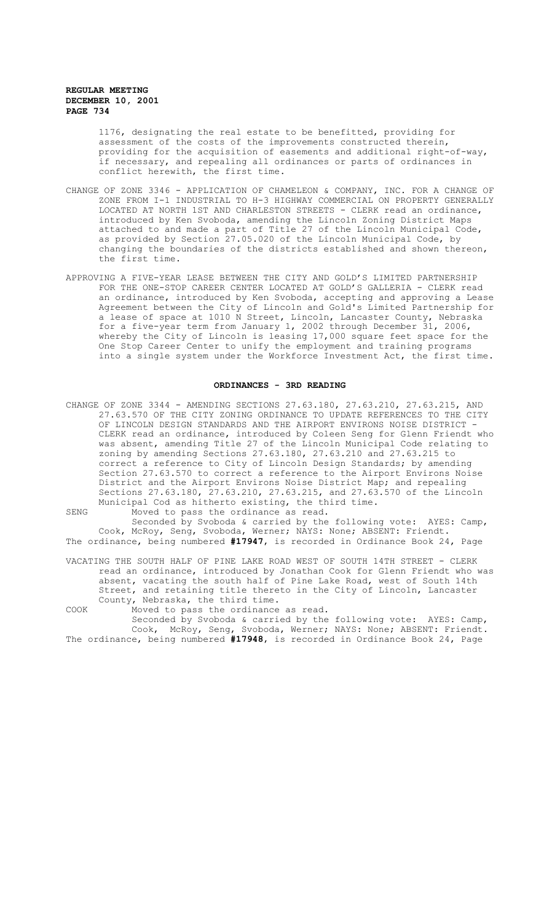1176, designating the real estate to be benefitted, providing for assessment of the costs of the improvements constructed therein, providing for the acquisition of easements and additional right-of-way, if necessary, and repealing all ordinances or parts of ordinances in conflict herewith, the first time.

- CHANGE OF ZONE 3346 APPLICATION OF CHAMELEON & COMPANY, INC. FOR A CHANGE OF ZONE FROM I-1 INDUSTRIAL TO H-3 HIGHWAY COMMERCIAL ON PROPERTY GENERALLY LOCATED AT NORTH 1ST AND CHARLESTON STREETS - CLERK read an ordinance, introduced by Ken Svoboda, amending the Lincoln Zoning District Maps attached to and made a part of Title 27 of the Lincoln Municipal Code, as provided by Section 27.05.020 of the Lincoln Municipal Code, by changing the boundaries of the districts established and shown thereon, the first time.
- APPROVING A FIVE-YEAR LEASE BETWEEN THE CITY AND GOLD'S LIMITED PARTNERSHIP FOR THE ONE-STOP CAREER CENTER LOCATED AT GOLD'S GALLERIA - CLERK read an ordinance, introduced by Ken Svoboda, accepting and approving a Lease Agreement between the City of Lincoln and Gold's Limited Partnership for a lease of space at 1010 N Street, Lincoln, Lancaster County, Nebraska for a five-year term from January 1, 2002 through December 31, 2006, whereby the City of Lincoln is leasing 17,000 square feet space for the One Stop Career Center to unify the employment and training programs into a single system under the Workforce Investment Act, the first time.

# **ORDINANCES - 3RD READING**

CHANGE OF ZONE 3344 - AMENDING SECTIONS 27.63.180, 27.63.210, 27.63.215, AND 27.63.570 OF THE CITY ZONING ORDINANCE TO UPDATE REFERENCES TO THE CITY OF LINCOLN DESIGN STANDARDS AND THE AIRPORT ENVIRONS NOISE DISTRICT CLERK read an ordinance, introduced by Coleen Seng for Glenn Friendt who was absent, amending Title 27 of the Lincoln Municipal Code relating to zoning by amending Sections 27.63.180, 27.63.210 and 27.63.215 to correct a reference to City of Lincoln Design Standards; by amending Section 27.63.570 to correct a reference to the Airport Environs Noise District and the Airport Environs Noise District Map; and repealing Sections 27.63.180, 27.63.210, 27.63.215, and 27.63.570 of the Lincoln Municipal Cod as hitherto existing, the third time. SENG Moved to pass the ordinance as read.

Seconded by Svoboda & carried by the following vote: AYES: Camp, Cook, McRoy, Seng, Svoboda, Werner; NAYS: None; ABSENT: Friendt. The ordinance, being numbered **#17947**, is recorded in Ordinance Book 24, Page

VACATING THE SOUTH HALF OF PINE LAKE ROAD WEST OF SOUTH 14TH STREET - CLERK read an ordinance, introduced by Jonathan Cook for Glenn Friendt who was absent, vacating the south half of Pine Lake Road, west of South 14th Street, and retaining title thereto in the City of Lincoln, Lancaster County, Nebraska, the third time.

COOK Moved to pass the ordinance as read.

Seconded by Svoboda & carried by the following vote: AYES: Camp, Cook, McRoy, Seng, Svoboda, Werner; NAYS: None; ABSENT: Friendt. The ordinance, being numbered **#17948**, is recorded in Ordinance Book 24, Page